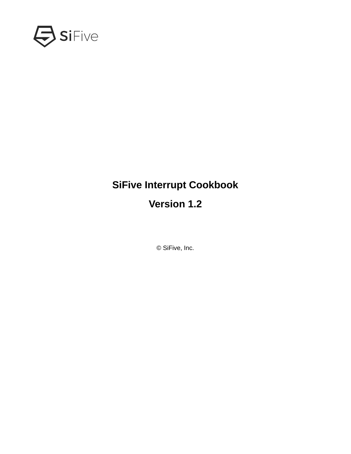

## **SiFive Interrupt Cookbook**

## **Version 1.2**

© SiFive, Inc.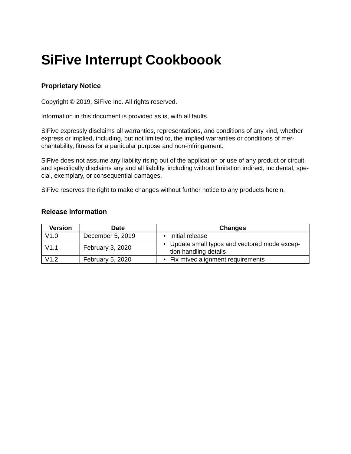# **SiFive Interrupt Cookboook**

#### **Proprietary Notice**

Copyright © 2019, SiFive Inc. All rights reserved.

Information in this document is provided as is, with all faults.

SiFive expressly disclaims all warranties, representations, and conditions of any kind, whether express or implied, including, but not limited to, the implied warranties or conditions of merchantability, fitness for a particular purpose and non-infringement.

SiFive does not assume any liability rising out of the application or use of any product or circuit, and specifically disclaims any and all liability, including without limitation indirect, incidental, special, exemplary, or consequential damages.

SiFive reserves the right to make changes without further notice to any products herein.

#### **Release Information**

| <b>Version</b> | Date             | Changes                                                                |
|----------------|------------------|------------------------------------------------------------------------|
| V1.0           | December 5, 2019 | Initial release                                                        |
| V1.1           | February 3, 2020 | • Update small typos and vectored mode excep-<br>tion handling details |
| V1.2           | February 5, 2020 | Fix mtvec alignment requirements                                       |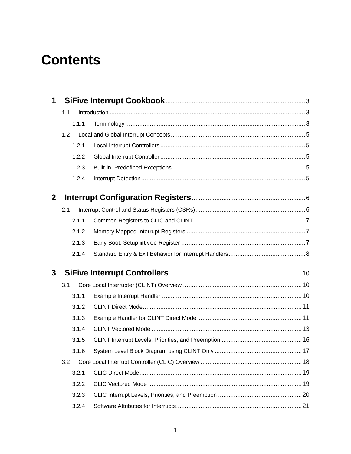# **Contents**

| 1            |       |  |  |
|--------------|-------|--|--|
|              | 1.1   |  |  |
|              | 1.1.1 |  |  |
|              | 1.2   |  |  |
|              | 1.2.1 |  |  |
|              | 1.2.2 |  |  |
|              | 1.2.3 |  |  |
|              | 1.2.4 |  |  |
| $\mathbf{2}$ |       |  |  |
|              | 2.1   |  |  |
|              | 2.1.1 |  |  |
|              | 2.1.2 |  |  |
|              | 2.1.3 |  |  |
|              | 2.1.4 |  |  |
| 3            |       |  |  |
|              | 3.1   |  |  |
|              | 3.1.1 |  |  |
|              | 3.1.2 |  |  |
|              | 3.1.3 |  |  |
|              | 3.1.4 |  |  |
|              | 3.1.5 |  |  |
|              | 3.1.6 |  |  |
|              | 3.2   |  |  |
|              | 3.2.1 |  |  |
|              | 3.2.2 |  |  |
|              | 3.2.3 |  |  |
|              | 3.2.4 |  |  |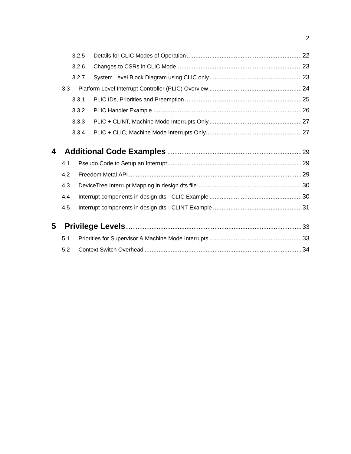|   |       | 3.2.5 |  |  |
|---|-------|-------|--|--|
|   |       | 3.2.6 |  |  |
|   |       | 3.2.7 |  |  |
|   | 3.3   |       |  |  |
|   | 3.3.1 |       |  |  |
|   |       | 3.3.2 |  |  |
|   |       | 3.3.3 |  |  |
|   |       | 3.3.4 |  |  |
| 4 |       |       |  |  |
|   | 4.1   |       |  |  |
|   | 4.2   |       |  |  |
|   | 4.3   |       |  |  |
|   | 4.4   |       |  |  |
|   | 4.5   |       |  |  |
| 5 |       |       |  |  |
|   | 5.1   |       |  |  |
|   | 5.2   |       |  |  |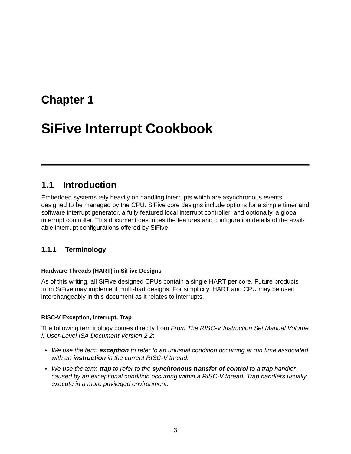## <span id="page-4-0"></span>**[Chapter 1](#page-4-0)**

# **[SiFive Interrupt Cookbook](#page-4-0)**

### <span id="page-4-1"></span>**[1.1 Introduction](#page-4-1)**

Embedded systems rely heavily on handling interrupts which are asynchronous events designed to be managed by the CPU. SiFive core designs include options for a simple timer and software interrupt generator, a fully featured local interrupt controller, and optionally, a global interrupt controller. This document describes the features and configuration details of the available interrupt configurations offered by SiFive.

#### <span id="page-4-2"></span>**[1.1.1 Terminology](#page-4-2)**

#### <span id="page-4-3"></span>**[Hardware Threads \(HART\) in SiFive Designs](#page-4-3)**

As of this writing, all SiFive designed CPUs contain a single HART per core. Future products from SiFive may implement multi-hart designs. For simplicity, HART and CPU may be used interchangeably in this document as it relates to interrupts.

#### <span id="page-4-4"></span>**[RISC-V Exception, Interrupt, Trap](#page-4-4)**

The following terminology comes directly from *From The RISC-V Instruction Set Manual Volume I: User-Level ISA Document Version 2.2*:

- *We use the term exception to refer to an unusual condition occurring at run time associated with an instruction in the current RISC-V thread.*
- *We use the term trap to refer to the synchronous transfer of control to a trap handler caused by an exceptional condition occurring within a RISC-V thread. Trap handlers usually execute in a more privileged environment.*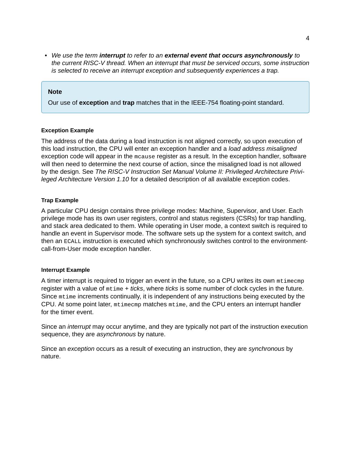• *We use the term interrupt to refer to an external event that occurs asynchronously to the current RISC-V thread. When an interrupt that must be serviced occurs, some instruction is selected to receive an interrupt exception and subsequently experiences a trap.*

#### **Note**

Our use of **exception** and **trap** matches that in the IEEE-754 floating-point standard.

#### <span id="page-5-0"></span>**[Exception Example](#page-5-0)**

The address of the data during a load instruction is not aligned correctly, so upon execution of this load instruction, the CPU will enter an exception handler and a *load address misaligned* exception code will appear in the mcause register as a result. In the exception handler, software will then need to determine the next course of action, since the misaligned load is not allowed by the design. See *The RISC-V Instruction Set Manual Volume II: Privileged Architecture Privileged Architecture Version 1.10* for a detailed description of all available exception codes.

#### <span id="page-5-1"></span>**[Trap Example](#page-5-1)**

A particular CPU design contains three privilege modes: Machine, Supervisor, and User. Each privilege mode has its own user registers, control and status registers (CSRs) for trap handling, and stack area dedicated to them. While operating in User mode, a context switch is required to handle an event in Supervisor mode. The software sets up the system for a context switch, and then an ECALL instruction is executed which synchronously switches control to the environmentcall-from-User mode exception handler.

#### <span id="page-5-2"></span>**[Interrupt Example](#page-5-2)**

A timer interrupt is required to trigger an event in the future, so a CPU writes its own mtimecmp register with a value of mtime + *ticks*, where *ticks* is some number of clock cycles in the future. Since mtime increments continually, it is independent of any instructions being executed by the CPU. At some point later, mtimecmp matches mtime, and the CPU enters an interrupt handler for the timer event.

Since an *interrupt* may occur anytime, and they are typically not part of the instruction execution sequence, they are *asynchronous* by nature.

Since an *exception* occurs as a result of executing an instruction, they are *synchronous* by nature.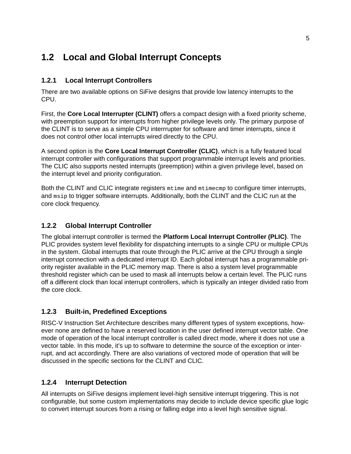## <span id="page-6-0"></span>**[1.2 Local and Global Interrupt Concepts](#page-6-0)**

#### <span id="page-6-1"></span>**[1.2.1 Local Interrupt Controllers](#page-6-1)**

There are two available options on SiFive designs that provide low latency interrupts to the CPU.

First, the **Core Local Interrupter (CLINT)** offers a compact design with a fixed priority scheme, with preemption support for interrupts from higher privilege levels only. The primary purpose of the CLINT is to serve as a simple CPU interrrupter for software and timer interrupts, since it does not control other local interrupts wired directly to the CPU.

A second option is the **Core Local Interrupt Controller (CLIC)**, which is a fully featured local interrupt controller with configurations that support programmable interrupt levels and priorities. The CLIC also supports nested interrupts (preemption) within a given privilege level, based on the interrupt level and priority configuration.

Both the CLINT and CLIC integrate registers mtime and mtimecmp to configure timer interrupts, and msip to trigger software interrupts. Additionally, both the CLINT and the CLIC run at the core clock frequency.

#### <span id="page-6-2"></span>**[1.2.2 Global Interrupt Controller](#page-6-2)**

The global interrupt controller is termed the **Platform Local Interrupt Controller (PLIC)**. The PLIC provides system level flexibility for dispatching interrupts to a single CPU or multiple CPUs in the system. Global interrupts that route through the PLIC arrive at the CPU through a single interrupt connection with a dedicated interrupt ID. Each global interrupt has a programmable priority register available in the PLIC memory map. There is also a system level programmable threshold register which can be used to mask all interrupts below a certain level. The PLIC runs off a different clock than local interrupt controllers, which is typically an integer divided ratio from the core clock.

#### <span id="page-6-3"></span>**[1.2.3 Built-in, Predefined Exceptions](#page-6-3)**

RISC-V Instruction Set Architecture describes many different types of system exceptions, however none are defined to have a reserved location in the user defined interrupt vector table. One mode of operation of the local interrupt controller is called direct mode, where it does not use a vector table. In this mode, it's up to software to determine the source of the exception or interrupt, and act accordingly. There are also variations of vectored mode of operation that will be discussed in the specific sections for the CLINT and CLIC.

#### <span id="page-6-4"></span>**[1.2.4 Interrupt Detection](#page-6-4)**

All interrupts on SiFive designs implement level-high sensitive interrupt triggering. This is not configurable, but some custom implementations may decide to include device specific glue logic to convert interrupt sources from a rising or falling edge into a level high sensitive signal.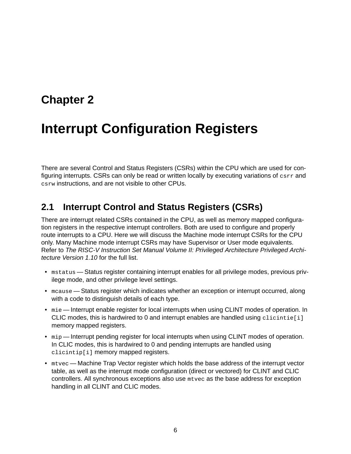## <span id="page-7-0"></span>**[Chapter 2](#page-7-0)**

# **[Interrupt Configuration Registers](#page-7-0)**

There are several Control and Status Registers (CSRs) within the CPU which are used for configuring interrupts. CSRs can only be read or written locally by executing variations of csrr and csrw instructions, and are not visible to other CPUs.

## <span id="page-7-1"></span>**[2.1 Interrupt Control and Status Registers \(CSRs\)](#page-7-1)**

There are interrupt related CSRs contained in the CPU, as well as memory mapped configuration registers in the respective interrupt controllers. Both are used to configure and properly route interrupts to a CPU. Here we will discuss the Machine mode interrupt CSRs for the CPU only. Many Machine mode interrupt CSRs may have Supervisor or User mode equivalents. Refer to *The RISC-V Instruction Set Manual Volume II: Privileged Architecture Privileged Architecture Version 1.10* for the full list.

- mstatus Status register containing interrupt enables for all privilege modes, previous privilege mode, and other privilege level settings.
- mcause Status register which indicates whether an exception or interrupt occurred, along with a code to distinguish details of each type.
- mie Interrupt enable register for local interrupts when using CLINT modes of operation. In CLIC modes, this is hardwired to 0 and interrupt enables are handled using clicintie[i] memory mapped registers.
- mip Interrupt pending register for local interrupts when using CLINT modes of operation. In CLIC modes, this is hardwired to 0 and pending interrupts are handled using clicintip[i] memory mapped registers.
- mtvec Machine Trap Vector register which holds the base address of the interrupt vector table, as well as the interrupt mode configuration (direct or vectored) for CLINT and CLIC controllers. All synchronous exceptions also use mtvec as the base address for exception handling in all CLINT and CLIC modes.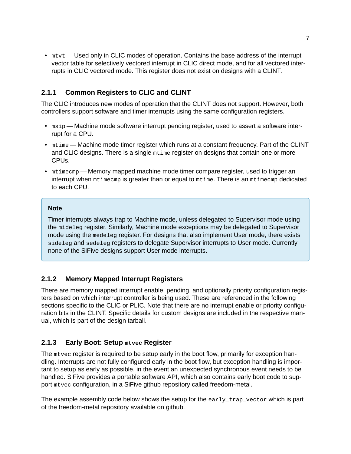• mtvt — Used only in CLIC modes of operation. Contains the base address of the interrupt vector table for selectively vectored interrupt in CLIC direct mode, and for all vectored interrupts in CLIC vectored mode. This register does not exist on designs with a CLINT.

#### <span id="page-8-0"></span>**[2.1.1 Common Registers to CLIC and CLINT](#page-8-0)**

The CLIC introduces new modes of operation that the CLINT does not support. However, both controllers support software and timer interrupts using the same configuration registers.

- msip Machine mode software interrupt pending register, used to assert a software interrupt for a CPU.
- mtime Machine mode timer register which runs at a constant frequency. Part of the CLINT and CLIC designs. There is a single mtime register on designs that contain one or more CPUs.
- mtimecmp Memory mapped machine mode timer compare register, used to trigger an interrupt when mtimecmp is greater than or equal to mtime. There is an mtimecmp dedicated to each CPU.

#### **Note**

Timer interrupts always trap to Machine mode, unless delegated to Supervisor mode using the mideleg register. Similarly, Machine mode exceptions may be delegated to Supervisor mode using the medeleg register. For designs that also implement User mode, there exists sideleg and sedeleg registers to delegate Supervisor interrupts to User mode. Currently none of the SiFive designs support User mode interrupts.

#### <span id="page-8-1"></span>**[2.1.2 Memory Mapped Interrupt Registers](#page-8-1)**

There are memory mapped interrupt enable, pending, and optionally priority configuration registers based on which interrupt controller is being used. These are referenced in the following sections specific to the CLIC or PLIC. Note that there are no interrupt enable or priority configuration bits in the CLINT. Specific details for custom designs are included in the respective manual, which is part of the design tarball.

#### <span id="page-8-2"></span>**[2.1.3 Early Boot: Setup](#page-8-2) [mtvec](#page-8-2) Register**

The mtvec register is required to be setup early in the boot flow, primarily for exception handling. Interrupts are not fully configured early in the boot flow, but exception handling is important to setup as early as possible, in the event an unexpected synchronous event needs to be handled. SiFive provides a portable software API, which also contains early boot code to support mtvec configuration, in a SiFive github repository called freedom-metal.

The example assembly code below shows the setup for the early\_trap\_vector which is part of the freedom-metal repository available on [github.](https://github.com/sifive/freedom-metal)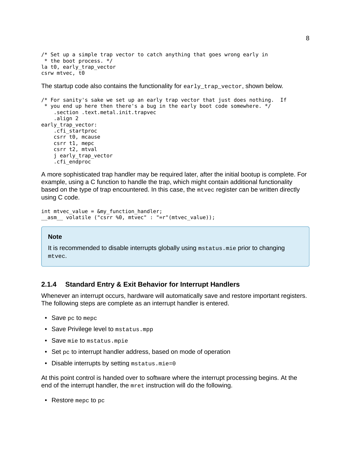```
/* Set up a simple trap vector to catch anything that goes wrong early in
* the boot process. */
la t0, early_trap_vector
csrw mtvec, t0
```
The startup code also contains the functionality for early\_trap\_vector, shown below.

```
/* For sanity's sake we set up an early trap vector that just does nothing. If
* you end up here then there's a bug in the early boot code somewhere. */
    .section .text.metal.init.trapvec
    .align 2
early_trap_vector:
   .cfi_startproc
   csrr t0, mcause
   csrr t1, mepc
    csrr t2, mtval
    j early_trap_vector
    .cfi_endproc
```
A more sophisticated trap handler may be required later, after the initial bootup is complete. For example, using a C function to handle the trap, which might contain additional functionality based on the type of trap encountered. In this case, the mtvec register can be written directly using C code.

```
int mtvec_value = &my_function_handler;
__asm__ volatile ("csrr %0, mtvec" : "=r"(mtvec_value));
```
#### **Note**

It is recommended to disable interrupts globally using mstatus.mie prior to changing mtvec.

#### <span id="page-9-0"></span>**[2.1.4 Standard Entry & Exit Behavior for Interrupt Handlers](#page-9-0)**

Whenever an interrupt occurs, hardware will automatically save and restore important registers. The following steps are complete as an interrupt handler is entered.

- Save pc to mepc
- Save Privilege level to mstatus.mpp
- Save mie to mstatus.mpie
- Set pc to interrupt handler address, based on mode of operation
- Disable interrupts by setting mstatus.mie=0

At this point control is handed over to software where the interrupt processing begins. At the end of the interrupt handler, the mret instruction will do the following.

• Restore mepc to pc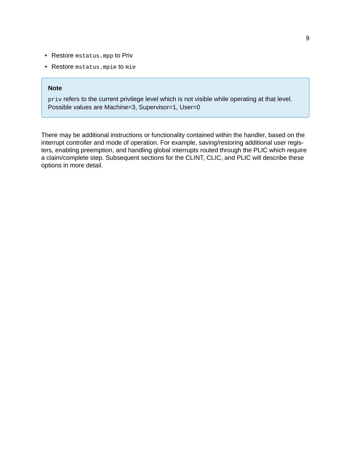- Restore mstatus.mpp to Priv
- Restore mstatus.mpie to mie

#### **Note**

priv refers to the current privilege level which is not visible while operating at that level. Possible values are Machine=3, Supervisor=1, User=0

There may be additional instructions or functionality contained within the handler, based on the interrupt controller and mode of operation. For example, saving/restoring additional user registers, enabling preemption, and handling global interrupts routed through the PLIC which require a claim/complete step. Subsequent sections for the CLINT, CLIC, and PLIC will describe these options in more detail.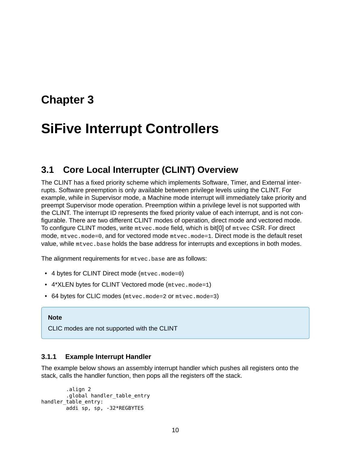## <span id="page-11-0"></span>**[Chapter 3](#page-11-0)**

# **[SiFive Interrupt Controllers](#page-11-0)**

## <span id="page-11-1"></span>**[3.1 Core Local Interrupter \(CLINT\) Overview](#page-11-1)**

The CLINT has a fixed priority scheme which implements Software, Timer, and External interrupts. Software preemption is only available between privilege levels using the CLINT. For example, while in Supervisor mode, a Machine mode interrupt will immediately take priority and preempt Supervisor mode operation. Preemption within a privilege level is not supported with the CLINT. The interrupt ID represents the fixed priority value of each interrupt, and is not configurable. There are two different CLINT modes of operation, direct mode and vectored mode. To configure CLINT modes, write mtvec.mode field, which is bit[0] of mtvec CSR. For direct mode, mtvec.mode=0, and for vectored mode mtvec.mode=1. Direct mode is the default reset value, while mtvec.base holds the base address for interrupts and exceptions in both modes.

The alignment requirements for mtvec.base are as follows:

- 4 bytes for CLINT Direct mode (mtvec.mode=0)
- 4\*XLEN bytes for CLINT Vectored mode (mtvec.mode=1)
- 64 bytes for CLIC modes (mtvec.mode=2 or mtvec.mode=3)

#### **Note**

CLIC modes are not supported with the CLINT

#### <span id="page-11-2"></span>**[3.1.1 Example Interrupt Handler](#page-11-2)**

The example below shows an assembly interrupt handler which pushes all registers onto the stack, calls the handler function, then pops all the registers off the stack.

```
.align 2
        .global handler_table_entry
handler table entry:
        addi sp, sp, -32*REGBYTES
```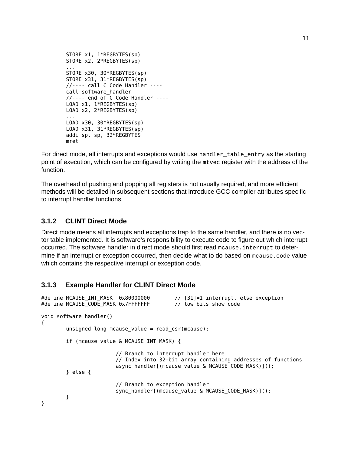```
STORE x1, 1*REGBYTES(sp)
STORE x2, 2*REGBYTES(sp)
...
STORE x30, 30*REGBYTES(sp)
STORE x31, 31*REGBYTES(sp)
//---- call C Code Handler ----
call software_handler
//---- end of C Code Handler ----
LOAD x1, 1*REGBYTES(sp)
LOAD x2, 2*REGBYTES(sp)
...
LOAD x30, 30*REGBYTES(sp)
LOAD x31, 31*REGBYTES(sp)
addi sp, sp, 32*REGBYTES
mret
```
For direct mode, all interrupts and exceptions would use handler\_table\_entry as the starting point of execution, which can be configured by writing the mtvec register with the address of the function.

The overhead of pushing and popping all registers is not usually required, and more efficient methods will be detailed in subsequent sections that introduce GCC compiler attributes specific to interrupt handler functions.

#### <span id="page-12-0"></span>**[3.1.2 CLINT Direct Mode](#page-12-0)**

Direct mode means all interrupts and exceptions trap to the same handler, and there is no vector table implemented. It is software's responsibility to execute code to figure out which interrupt occurred. The software handler in direct mode should first read mcause.interrupt to determine if an interrupt or exception occurred, then decide what to do based on mcause.code value which contains the respective interrupt or exception code.

#### <span id="page-12-1"></span>**[3.1.3 Example Handler for CLINT Direct Mode](#page-12-1)**

```
#define MCAUSE INT MASK 0x80000000 // [31]=1 interrupt, else exception
#define MCAUSE_CODE_MASK 0x7FFFFFFF // low bits show code
void software_handler()
{
       unsigned long mcause_value = read_csr(mcause);
       if (mcause value & MCAUSE INT MASK) {
                       // Branch to interrupt handler here
                       // Index into 32-bit array containing addresses of functions
                       async_handler[(mcause_value & MCAUSE_CODE_MASK)]();
       } else {
                       // Branch to exception handler
                       sync_handler[(mcause_value & MCAUSE_CODE_MASK)]();
       }
}
```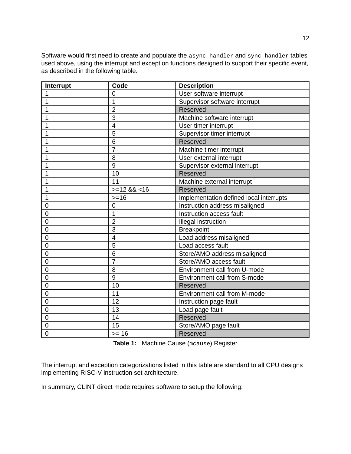Software would first need to create and populate the async\_handler and sync\_handler tables used above, using the interrupt and exception functions designed to support their specific event, as described in the following table.

| Interrupt      | Code           | <b>Description</b>                      |
|----------------|----------------|-----------------------------------------|
| $\mathbf{1}$   | 0              | User software interrupt                 |
| $\mathbf{1}$   | $\overline{1}$ | Supervisor software interrupt           |
| $\mathbf{1}$   | $\overline{2}$ | Reserved                                |
| $\mathbf{1}$   | 3              | Machine software interrupt              |
| $\mathbf{1}$   | $\overline{4}$ | User timer interrupt                    |
| $\mathbf{1}$   | 5              | Supervisor timer interrupt              |
| $\mathbf{1}$   | 6              | Reserved                                |
| $\mathbf{1}$   | $\overline{7}$ | Machine timer interrupt                 |
| $\mathbf{1}$   | 8              | User external interrupt                 |
| $\mathbf{1}$   | 9              | Supervisor external interrupt           |
| $\mathbf{1}$   | 10             | Reserved                                |
| $\mathbf{1}$   | 11             | Machine external interrupt              |
| $\overline{1}$ | $>=12$ && <16  | Reserved                                |
| $\mathbf{1}$   | $>=16$         | Implementation defined local interrupts |
| $\mathbf 0$    | 0              | Instruction address misaligned          |
| 0              | 1              | Instruction access fault                |
| $\mathbf 0$    | $\overline{2}$ | Illegal instruction                     |
| $\mathbf 0$    | 3              | <b>Breakpoint</b>                       |
| 0              | 4              | Load address misaligned                 |
| $\mathbf 0$    | 5              | Load access fault                       |
| $\mathbf 0$    | 6              | Store/AMO address misaligned            |
| 0              | $\overline{7}$ | Store/AMO access fault                  |
| $\mathbf 0$    | 8              | Environment call from U-mode            |
| 0              | 9              | Environment call from S-mode            |
| 0              | 10             | Reserved                                |
| $\mathbf 0$    | 11             | Environment call from M-mode            |
| $\mathbf 0$    | 12             | Instruction page fault                  |
| $\mathbf 0$    | 13             | Load page fault                         |
| $\mathbf 0$    | 14             | Reserved                                |
| 0              | 15             | Store/AMO page fault                    |
| $\overline{0}$ | $>= 16$        | Reserved                                |

**Table 1:** Machine Cause (mcause) Register

The interrupt and exception categorizations listed in this table are standard to all CPU designs implementing RISC-V instruction set architecture.

In summary, CLINT direct mode requires software to setup the following: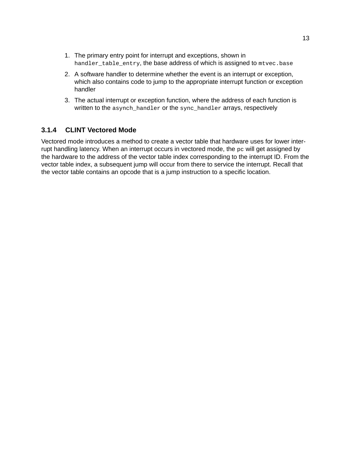- 1. The primary entry point for interrupt and exceptions, shown in handler\_table\_entry, the base address of which is assigned to mtvec.base
- 2. A software handler to determine whether the event is an interrupt or exception, which also contains code to jump to the appropriate interrupt function or exception handler
- 3. The actual interrupt or exception function, where the address of each function is written to the asynch\_handler or the sync\_handler arrays, respectively

#### <span id="page-14-0"></span>**[3.1.4 CLINT Vectored Mode](#page-14-0)**

Vectored mode introduces a method to create a vector table that hardware uses for lower interrupt handling latency. When an interrupt occurs in vectored mode, the pc will get assigned by the hardware to the address of the vector table index corresponding to the interrupt ID. From the vector table index, a subsequent jump will occur from there to service the interrupt. Recall that the vector table contains an opcode that is a jump instruction to a specific location.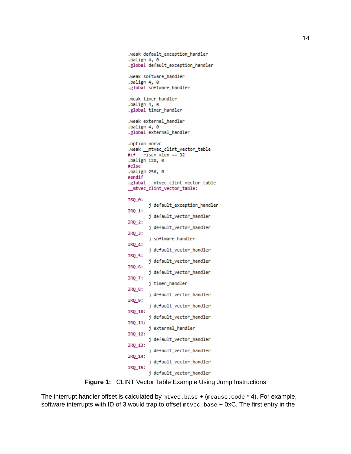```
.weak default exception handler
.balign 4, 0
.global default_exception_handler
.weak software_handler
.balign 4, 0
.global software_handler
.weak timer_handler
.balign 4, 0
.global timer_handler
.weak external_handler
.balign 4, 0
.global external_handler
.option norvc
.weak _mtvec_clint_vector_table
#if _riscv_xlen == 32
.balign 128, 0
#else
.balign 256, 0
#endif
.global _mtvec_clint_vector_table
_mtvec_clint_vector_table:
IRO 0:
        j default_exception_handler
IRQ_1:
        j default_vector_handler
IRQ_2:
        j default_vector_handler
IRQ_3:
        j software_handler
IRQ_4:
        j default_vector_handler
IRQ_5:
        j default_vector_handler
IRQ 6:
        j default_vector_handler
IRQ_7:
        j timer_handler
IRO 8:
        j default_vector_handler
IRQ 9:
        j default_vector_handler
IRQ_10:
        j default_vector_handler
IRO 11:
        j external_handler
IRQ_12:
        j default_vector_handler
IRQ 13:
        j default_vector_handler
IRQ_14:
        j default_vector_handler
IRQ_15:
        j default_vector_handler
```
**Figure 1:** CLINT Vector Table Example Using Jump Instructions

The interrupt handler offset is calculated by mtvec.base + (mcause.code \* 4). For example, software interrupts with ID of 3 would trap to offset mtvec.base + 0xC. The first entry in the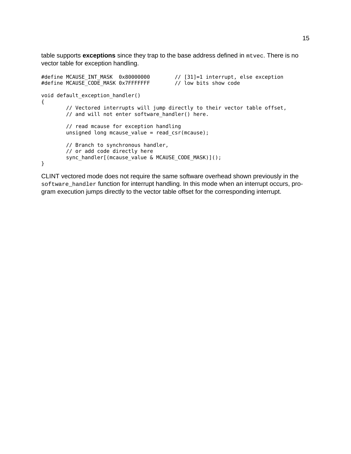table supports **exceptions** since they trap to the base address defined in mtvec. There is no vector table for exception handling.

```
#define MCAUSE_INT_MASK 0x80000000 // [31]=1 interrupt, else exception
#define MCAUSE_CODE_MASK 0x7FFFFFFF // low bits show code
void default exception handler()
{
       // Vectored interrupts will jump directly to their vector table offset,
       // and will not enter software_handler() here.
       // read mcause for exception handling
       unsigned long mcause_value = read_csr(mcause);
       // Branch to synchronous handler,
       // or add code directly here
       sync_handler[(mcause_value & MCAUSE_CODE_MASK)]();
}
```
CLINT vectored mode does not require the same software overhead shown previously in the software\_handler function for interrupt handling. In this mode when an interrupt occurs, program execution jumps directly to the vector table offset for the corresponding interrupt.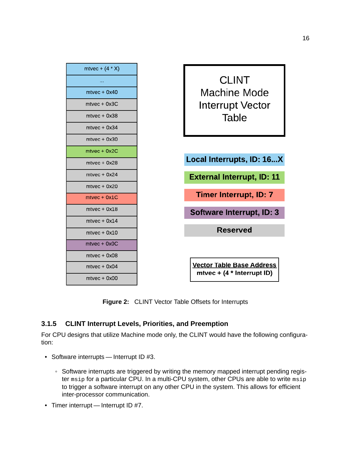

**Figure 2:** CLINT Vector Table Offsets for Interrupts

#### <span id="page-17-0"></span>**[3.1.5 CLINT Interrupt Levels, Priorities, and Preemption](#page-17-0)**

For CPU designs that utilize Machine mode only, the CLINT would have the following configuration:

- Software interrupts Interrupt ID #3.
	- Software interrupts are triggered by writing the memory mapped interrupt pending register msip for a particular CPU. In a multi-CPU system, other CPUs are able to write msip to trigger a software interrupt on any other CPU in the system. This allows for efficient inter-processor communication.
- Timer interrupt Interrupt ID #7.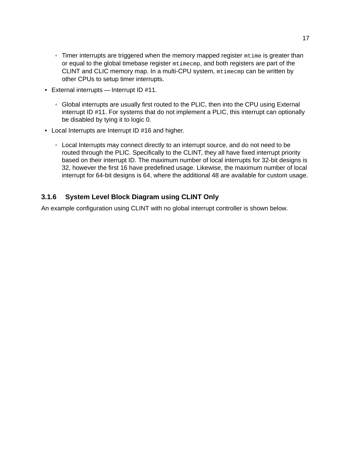- Timer interrupts are triggered when the memory mapped register mtime is greater than or equal to the global timebase register mtimecmp, and both registers are part of the CLINT and CLIC memory map. In a multi-CPU system, mtimecmp can be written by other CPUs to setup timer interrupts.
- External interrupts Interrupt ID #11.
	- Global interrupts are usually first routed to the PLIC, then into the CPU using External interrupt ID #11. For systems that do not implement a PLIC, this interrupt can optionally be disabled by tying it to logic 0.
- Local Interrupts are Interrupt ID #16 and higher.
	- Local Interrupts may connect directly to an interrupt source, and do not need to be routed through the PLIC. Specifically to the CLINT, they all have fixed interrupt priority based on their interrupt ID. The maximum number of local interrupts for 32-bit designs is 32, however the first 16 have predefined usage. Likewise, the maximum number of local interrupt for 64-bit designs is 64, where the additional 48 are available for custom usage.

#### <span id="page-18-0"></span>**[3.1.6 System Level Block Diagram using CLINT Only](#page-18-0)**

An example configuration using CLINT with no global interrupt controller is shown below.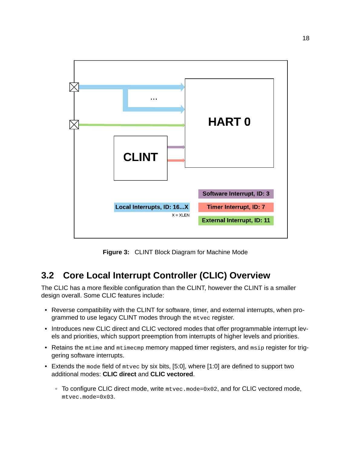

**Figure 3:** CLINT Block Diagram for Machine Mode

## <span id="page-19-0"></span>**[3.2 Core Local Interrupt Controller \(CLIC\) Overview](#page-19-0)**

The CLIC has a more flexible configuration than the CLINT, however the CLINT is a smaller design overall. Some CLIC features include:

- Reverse compatibility with the CLINT for software, timer, and external interrupts, when programmed to use legacy CLINT modes through the mtvec register.
- Introduces new CLIC direct and CLIC vectored modes that offer programmable interrupt levels and priorities, which support preemption from interrupts of higher levels and priorities.
- Retains the mtime and mtimecmp memory mapped timer registers, and msip register for triggering software interrupts.
- Extends the mode field of mtvec by six bits, [5:0], where [1:0] are defined to support two additional modes: **CLIC direct** and **CLIC vectored**.
	- To configure CLIC direct mode, write mtvec.mode=0x02, and for CLIC vectored mode, mtvec.mode=0x03.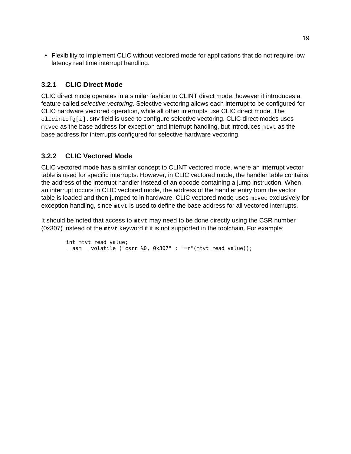• Flexibility to implement CLIC without vectored mode for applications that do not require low latency real time interrupt handling.

#### <span id="page-20-0"></span>**[3.2.1 CLIC Direct Mode](#page-20-0)**

CLIC direct mode operates in a similar fashion to CLINT direct mode, however it introduces a feature called *selective vectoring*. Selective vectoring allows each interrupt to be configured for CLIC hardware vectored operation, while all other interrupts use CLIC direct mode. The clicintcfg[i].SHV field is used to configure selective vectoring. CLIC direct modes uses mtvec as the base address for exception and interrupt handling, but introduces mtvt as the base address for interrupts configured for selective hardware vectoring.

#### <span id="page-20-1"></span>**[3.2.2 CLIC Vectored Mode](#page-20-1)**

CLIC vectored mode has a similar concept to CLINT vectored mode, where an interrupt vector table is used for specific interrupts. However, in CLIC vectored mode, the handler table contains the address of the interrupt handler instead of an opcode containing a jump instruction. When an interrupt occurs in CLIC vectored mode, the address of the handler entry from the vector table is loaded and then jumped to in hardware. CLIC vectored mode uses mtvec exclusively for exception handling, since mtvt is used to define the base address for all vectored interrupts.

It should be noted that access to mtvt may need to be done directly using the CSR number (0x307) instead of the mtvt keyword if it is not supported in the toolchain. For example:

```
int mtvt read value;
__asm__ volatile ("csrr %0, 0x307" : "=r"(mtvt_read_value));
```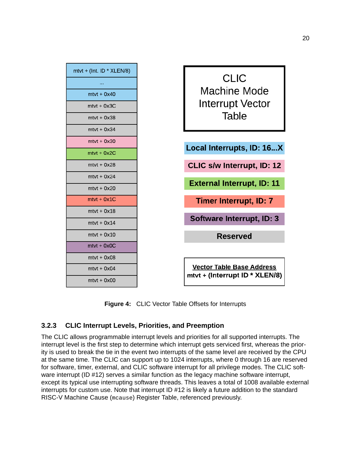

**Figure 4:** CLIC Vector Table Offsets for Interrupts

#### <span id="page-21-0"></span>**[3.2.3 CLIC Interrupt Levels, Priorities, and Preemption](#page-21-0)**

The CLIC allows programmable interrupt levels and priorities for all supported interrupts. The interrupt level is the first step to determine which interrupt gets serviced first, whereas the priority is used to break the tie in the event two interrupts of the same level are received by the CPU at the same time. The CLIC can support up to 1024 interrupts, where 0 through 16 are reserved for software, timer, external, and CLIC software interrupt for all privilege modes. The CLIC software interrupt (ID #12) serves a similar function as the legacy machine software interrupt, except its typical use interrupting software threads. This leaves a total of 1008 available external interrupts for custom use. Note that interrupt ID #12 is likely a future addition to the standard RISC-V Machine Cause (mcause) Register Table, referenced previously.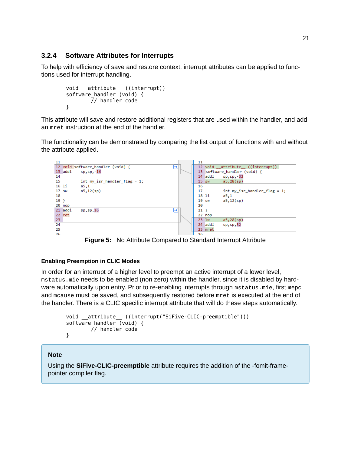#### <span id="page-22-0"></span>**[3.2.4 Software Attributes for Interrupts](#page-22-0)**

To help with efficiency of save and restore context, interrupt attributes can be applied to functions used for interrupt handling.

```
void __attribute__ ((interrupt))
software_handler (void) {
        // handler code
}
```
This attribute will save and restore additional registers that are used within the handler, and add an mret instruction at the end of the handler.

The functionality can be demonstrated by comparing the list output of functions with and without the attribute applied.



**Figure 5:** No Attribute Compared to Standard Interrupt Attribute

#### <span id="page-22-1"></span>**[Enabling Preemption in CLIC Modes](#page-22-1)**

In order for an interrupt of a higher level to preempt an active interrupt of a lower level, mstatus.mie needs to be enabled (non zero) within the handler, since it is disabled by hardware automatically upon entry. Prior to re-enabling interrupts through mstatus.mie, first mepc and mcause must be saved, and subsequently restored before mret is executed at the end of the handler. There is a CLIC specific interrupt attribute that will do these steps automatically.

```
void __attribute__ ((interrupt("SiFive-CLIC-preemptible")))
software handler (void) {
        // handler code
}
```
#### **Note**

Using the **SiFive-CLIC-preemptible** attribute requires the addition of the -fomit-framepointer compiler flag.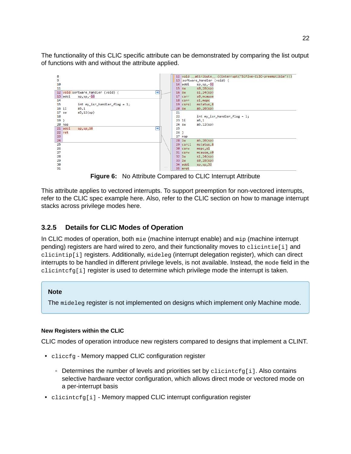The functionality of this CLIC specific attribute can be demonstrated by comparing the list output of functions with and without the attribute applied.



**Figure 6:** No Attribute Compared to CLIC Interrupt Attribute

This attribute applies to vectored interrupts. To support preemption for non-vectored interrupts, refer to the CLIC spec example [here](https://github.com/riscv/riscv-fast-interrupt/blob/master/clic.adoc#trampoline-for-preemptible-inline-handlers). Also, refer to the CLIC section on how to manage interrupt stacks across privilege modes [here.](https://github.com/riscv/riscv-fast-interrupt/blob/master/clic.adoc#managing-interrupt-stacks-across-privilege-modes)

#### <span id="page-23-0"></span>**[3.2.5 Details for CLIC Modes of Operation](#page-23-0)**

In CLIC modes of operation, both mie (machine interrupt enable) and mip (machine interrupt pending) registers are hard wired to zero, and their functionality moves to clicintie[i] and clicintip[i] registers. Additionally, mideleg (interrupt delegation register), which can direct interrupts to be handled in different privilege levels, is not available. Instead, the mode field in the clicintcfg[i] register is used to determine which privilege mode the interrupt is taken.

#### **Note**

The mideleg register is not implemented on designs which implement only Machine mode.

#### <span id="page-23-1"></span>**[New Registers within the CLIC](#page-23-1)**

CLIC modes of operation introduce new registers compared to designs that implement a CLINT.

- cliccfg Memory mapped CLIC configuration register
	- Determines the number of levels and priorities set by clicintcfg[i]. Also contains selective hardware vector configuration, which allows direct mode or vectored mode on a per-interrupt basis
- clicintcfg[i] Memory mapped CLIC interrupt configuration register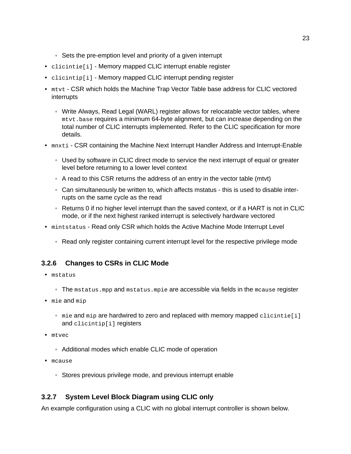- Sets the pre-emption level and priority of a given interrupt
- clicintie[i] Memory mapped CLIC interrupt enable register
- clicintip[i] Memory mapped CLIC interrupt pending register
- mtvt CSR which holds the Machine Trap Vector Table base address for CLIC vectored interrupts
	- Write Always, Read Legal (WARL) register allows for relocatable vector tables, where mtvt.base requires a minimum 64-byte alignment, but can increase depending on the total number of CLIC interrupts implemented. Refer to the CLIC [specification](https://github.com/riscv/riscv-fast-interrupt/blob/master/clic.adoc) for more details.
- mnxti CSR containing the Machine Next Interrupt Handler Address and Interrupt-Enable
	- Used by software in CLIC direct mode to service the next interrupt of equal or greater level before returning to a lower level context
	- A read to this CSR returns the address of an entry in the vector table (mtvt)
	- Can simultaneously be written to, which affects mstatus this is used to disable interrupts on the same cycle as the read
	- Returns 0 if no higher level interrupt than the saved context, or if a HART is not in CLIC mode, or if the next highest ranked interrupt is selectively hardware vectored
- mintstatus Read only CSR which holds the Active Machine Mode Interrupt Level
	- Read only register containing current interrupt level for the respective privilege mode

#### <span id="page-24-0"></span>**[3.2.6 Changes to CSRs in CLIC Mode](#page-24-0)**

- mstatus
	- The mstatus.mpp and mstatus.mpie are accessible via fields in the mcause register
- mie and mip
	- mie and mip are hardwired to zero and replaced with memory mapped clicintie[i] and clicintip[i] registers
- mtvec
	- Additional modes which enable CLIC mode of operation
- mcause
	- Stores previous privilege mode, and previous interrupt enable

#### <span id="page-24-1"></span>**[3.2.7 System Level Block Diagram using CLIC only](#page-24-1)**

An example configuration using a CLIC with no global interrupt controller is shown below.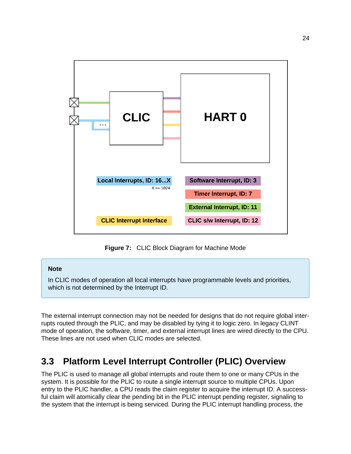

**Figure 7:** CLIC Block Diagram for Machine Mode

#### **Note**

In CLIC modes of operation all local interrupts have programmable levels and priorities, which is not determined by the Interrupt ID.

The external interrupt connection may not be needed for designs that do not require global interrupts routed through the PLIC, and may be disabled by tying it to logic zero. In legacy CLINT mode of operation, the software, timer, and external interrupt lines are wired directly to the CPU. These lines are not used when CLIC modes are selected.

## <span id="page-25-0"></span>**[3.3 Platform Level Interrupt Controller \(PLIC\) Overview](#page-25-0)**

The PLIC is used to manage all global interrupts and route them to one or many CPUs in the system. It is possible for the PLIC to route a single interrupt source to multiple CPUs. Upon entry to the PLIC handler, a CPU reads the claim register to acquire the interrupt ID. A successful claim will atomically clear the pending bit in the PLIC interrupt pending register, signaling to the system that the interrupt is being serviced. During the PLIC interrupt handling process, the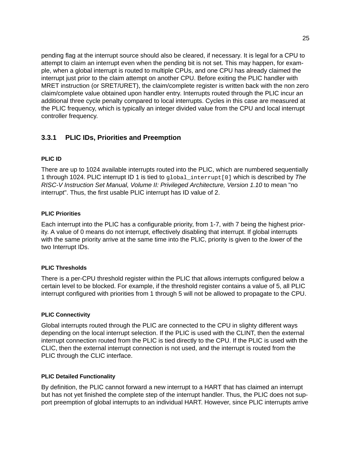pending flag at the interrupt source should also be cleared, if necessary. It is legal for a CPU to attempt to claim an interrupt even when the pending bit is not set. This may happen, for example, when a global interrupt is routed to multiple CPUs, and one CPU has already claimed the interrupt just prior to the claim attempt on another CPU. Before exiting the PLIC handler with MRET instruction (or SRET/URET), the claim/complete register is written back with the non zero claim/complete value obtained upon handler entry. Interrupts routed through the PLIC incur an additional three cycle penalty compared to local interrupts. Cycles in this case are measured at the PLIC frequency, which is typically an integer divided value from the CPU and local interrupt controller frequency.

#### <span id="page-26-0"></span>**[3.3.1 PLIC IDs, Priorities and Preemption](#page-26-0)**

#### <span id="page-26-1"></span>**[PLIC ID](#page-26-1)**

There are up to 1024 available interrupts routed into the PLIC, which are numbered sequentially 1 through 1024. PLIC interrupt ID 1 is tied to global\_interrupt[0] which is described by *The RISC-V Instruction Set Manual, Volume II: Privileged Architecture, Version 1.10* to mean "no interrupt". Thus, the first usable PLIC interrupt has ID value of 2.

#### <span id="page-26-2"></span>**[PLIC Priorities](#page-26-2)**

Each interrupt into the PLIC has a configurable priority, from 1-7, with 7 being the highest priority. A value of 0 means do not interrupt, effectively disabling that interrupt. If global interrupts with the same priority arrive at the same time into the PLIC, priority is given to the *lower* of the two Interrupt IDs.

#### <span id="page-26-3"></span>**[PLIC Thresholds](#page-26-3)**

There is a per-CPU threshold register within the PLIC that allows interrupts configured below a certain level to be blocked. For example, if the threshold register contains a value of 5, all PLIC interrupt configured with priorities from 1 through 5 will not be allowed to propagate to the CPU.

#### <span id="page-26-4"></span>**[PLIC Connectivity](#page-26-4)**

Global interrupts routed through the PLIC are connected to the CPU in slighty different ways depending on the local interrupt selection. If the PLIC is used with the CLINT, then the external interrupt connection routed from the PLIC is tied directly to the CPU. If the PLIC is used with the CLIC, then the external interrupt connection is not used, and the interrupt is routed from the PLIC through the CLIC interface.

#### <span id="page-26-5"></span>**[PLIC Detailed Functionality](#page-26-5)**

By definition, the PLIC cannot forward a new interrupt to a HART that has claimed an interrupt but has not yet finished the complete step of the interrupt handler. Thus, the PLIC does not support preemption of global interrupts to an individual HART. However, since PLIC interrupts arrive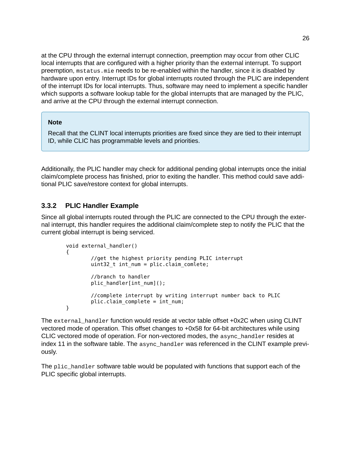at the CPU through the external interrupt connection, preemption may occur from other CLIC local interrupts that are configured with a higher priority than the external interrupt. To support preemption, mstatus.mie needs to be re-enabled within the handler, since it is disabled by hardware upon entry. Interrupt IDs for global interrupts routed through the PLIC are independent of the interrupt IDs for local interrupts. Thus, software may need to implement a specific handler which supports a software lookup table for the global interrupts that are managed by the PLIC, and arrive at the CPU through the external interrupt connection.

#### **Note**

Recall that the CLINT local interrupts priorities are fixed since they are tied to their interrupt ID, while CLIC has programmable levels and priorities.

Additionally, the PLIC handler may check for additional pending global interrupts once the initial claim/complete process has finished, prior to exiting the handler. This method could save additional PLIC save/restore context for global interrupts.

#### <span id="page-27-0"></span>**[3.3.2 PLIC Handler Example](#page-27-0)**

Since all global interrupts routed through the PLIC are connected to the CPU through the external interrupt, this handler requires the additional claim/complete step to notify the PLIC that the current global interrupt is being serviced.

```
void external_handler()
{
        //get the highest priority pending PLIC interrupt
        uint32 t int num = plic.claim comlete;
        //branch to handler
        plic_handler[int_num]();
        //complete interrupt by writing interrupt number back to PLIC
        plic.claim_complete = int_num;
}
```
The external\_handler function would reside at vector table offset +0x2C when using CLINT vectored mode of operation. This offset changes to +0x58 for 64-bit architectures while using CLIC vectored mode of operation. For non-vectored modes, the async\_handler resides at index 11 in the software table. The async\_handler was referenced in the CLINT example previously.

The plic\_handler software table would be populated with functions that support each of the PLIC specific global interrupts.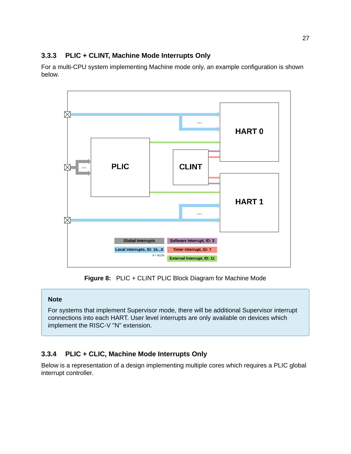#### <span id="page-28-0"></span>**[3.3.3 PLIC + CLINT, Machine Mode Interrupts Only](#page-28-0)**

For a multi-CPU system implementing Machine mode only, an example configuration is shown below.



**Figure 8:** PLIC + CLINT PLIC Block Diagram for Machine Mode

#### **Note**

For systems that implement Supervisor mode, there will be additional Supervisor interrupt connections into each HART. User level interrupts are only available on devices which implement the RISC-V "N" extension.

#### <span id="page-28-1"></span>**[3.3.4 PLIC + CLIC, Machine Mode Interrupts Only](#page-28-1)**

Below is a representation of a design implementing multiple cores which requires a PLIC global interrupt controller.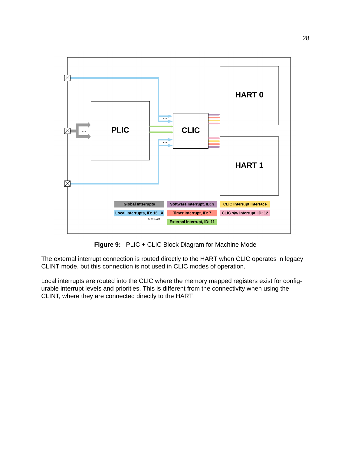

**Figure 9:** PLIC + CLIC Block Diagram for Machine Mode

The external interrupt connection is routed directly to the HART when CLIC operates in legacy CLINT mode, but this connection is not used in CLIC modes of operation.

Local interrupts are routed into the CLIC where the memory mapped registers exist for configurable interrupt levels and priorities. This is different from the connectivity when using the CLINT, where they are connected directly to the HART.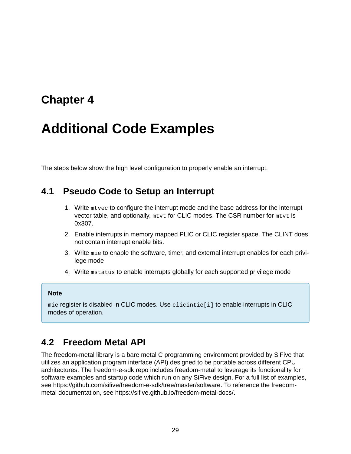## <span id="page-30-0"></span>**[Chapter 4](#page-30-0)**

# **[Additional Code Examples](#page-30-0)**

The steps below show the high level configuration to properly enable an interrupt.

### <span id="page-30-1"></span>**[4.1 Pseudo Code to Setup an Interrupt](#page-30-1)**

- 1. Write mtvec to configure the interrupt mode and the base address for the interrupt vector table, and optionally, mtvt for CLIC modes. The CSR number for mtvt is 0x307.
- 2. Enable interrupts in memory mapped PLIC or CLIC register space. The CLINT does not contain interrupt enable bits.
- 3. Write mie to enable the software, timer, and external interrupt enables for each privilege mode
- 4. Write mstatus to enable interrupts globally for each supported privilege mode

#### **Note**

mie register is disabled in CLIC modes. Use clicintie[i] to enable interrupts in CLIC modes of operation.

### <span id="page-30-2"></span>**[4.2 Freedom Metal API](#page-30-2)**

The freedom-metal library is a bare metal C programming environment provided by SiFive that utilizes an application program interface (API) designed to be portable across different CPU architectures. The freedom-e-sdk repo includes freedom-metal to leverage its functionality for software examples and startup code which run on any SiFive design. For a full list of examples, see<https://github.com/sifive/freedom-e-sdk/tree/master/software>. To reference the freedommetal documentation, see [https://sifive.github.io/freedom-metal-docs/.](https://sifive.github.io/freedom-metal-docs/)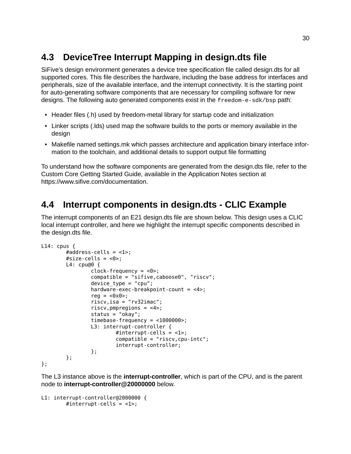## <span id="page-31-0"></span>**[4.3 DeviceTree Interrupt Mapping in design.dts file](#page-31-0)**

SiFive's design environment generates a device tree specification file called design.dts for all supported cores. This file describes the hardware, including the base address for interfaces and peripherals, size of the available interface, and the interrupt connectivity. It is the starting point for auto-generating software components that are necessary for compiling software for new designs. The following auto generated components exist in the freedom-e-sdk/bsp path:

- Header files (.h) used by freedom-metal library for startup code and initialization
- Linker scripts (.lds) used map the software builds to the ports or memory available in the design
- Makefile named settings.mk which passes architecture and application binary interface information to the toolchain, and additional details to support output file formatting

To understand how the software components are generated from the design.dts file, refer to the Custom Core Getting Started Guide, available in the Application Notes section at <https://www.sifive.com/documentation>.

## <span id="page-31-1"></span>**[4.4 Interrupt components in design.dts - CLIC Example](#page-31-1)**

The interrupt components of an E21 design.dts file are shown below. This design uses a CLIC local interrupt controller, and here we highlight the interrupt specific components described in the design.dts file.

```
L14: cpus {
        #address-cells = <1>;
        #size-cells = <0>;
        L4: cpu@0 {
                 clock-frequency = <0>;
                 compatible = "sifive,caboose0", "riscv";
                 device_type = "cpu";
                 hardware-exec-breakpoint-count = <4>;
                 reg = <0x0>;
                 riscv,isa = "rv32imac";
                 riscv,pmpregions = <4>;
                 status = "okay";
                 timebase-frequency = <1000000>;
                 L3: interrupt-controller {
                         #interrupt-cells = \langle -1 \rangle;
                         compatible = "riscv,cpu-intc";
                         interrupt-controller;
                 };
        };
```

```
};
```
The L3 instance above is the **interrupt-controller**, which is part of the CPU, and is the parent node to **interrupt-controller@20000000** below.

```
L1: interrupt-controller@2000000 {
        #interrupt-cells = <1>;
```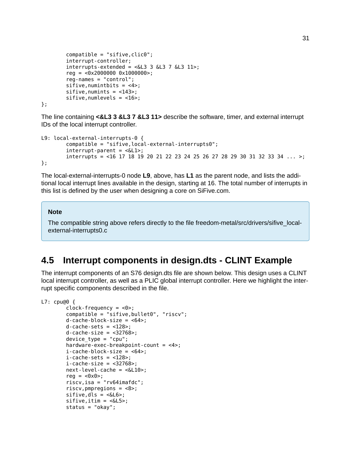```
compatible = "sitive, click";
interrupt-controller;
interrupts-extended = <math>\&</math>L3 3 <math>\&</math>L3 7 <math>\&</math>L3 11>;reg = <0x2000000 0x1000000>;
reg-names = "control";
sifive, numintbits = <4>;
sifive, numints = <143sifive, numlevels = <16;
```
};

The line containing **<&L3 3 &L3 7 &L3 11>** describe the software, timer, and external interrupt IDs of the local interrupt controller.

```
L9: local-external-interrupts-0 {
        compatible = "sifive,local-external-interrupts0";
        interrupt-part = <&L1&gt;;interrupts = <16 17 18 19 20 21 22 23 24 25 26 27 28 29 30 31 32 33 34 ... >;
};
```
The local-external-interrupts-0 node **L9**, above, has **L1** as the parent node, and lists the additional local interrupt lines available in the design, starting at 16. The total number of interrupts in this list is defined by the user when designing a core on SiFive.com.

#### **Note**

The compatible string above refers directly to the file freedom-metal/src/drivers/sifive\_localexternal-interrupts0.c

## <span id="page-32-0"></span>**[4.5 Interrupt components in design.dts - CLINT Example](#page-32-0)**

The interrupt components of an S76 design.dts file are shown below. This design uses a CLINT local interrupt controller, as well as a PLIC global interrupt controller. Here we highlight the interrupt specific components described in the file.

```
L7: cpu@0 {
        clock-frequency = <0>;
        compatible = "sifive,bullet0", "riscv";
        d-cache-block-size = <64);
        d-cache-sets = <128>;
        d-cache-size = <32768>;
        device_type = "cpu";
        hardware-exec-breakpoint-count = <4>;
        i-cache-block-size = <math>64</math>;
        i-cache-sets = <128>;
        i-cache-size = <32768>;
        next-level-cache = <&L10>;
        reg = <math>\theta \times \theta;
        riscv,isa = "rv64imafdc";
        riscv, pmpregions = <8>;
        sifive,dls = <&L6>;
        sifive, itim = <\&L5>;
        status = "okay";
```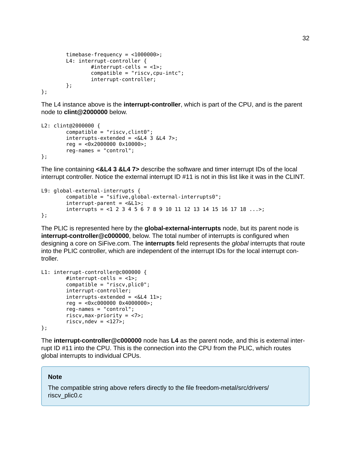```
timebase-frequency = <1000000>;
        L4: interrupt-controller {
                #interrupt-cells = <1>;
                compatible = "riscv, cpu-intc";interrupt-controller;
        };
};
```
The L4 instance above is the **interrupt-controller**, which is part of the CPU, and is the parent node to **clint@2000000** below.

```
L2: clint@2000000 {
         compatible = "riscv, client0";interrupts-extended = <math>&lt;</math> 3 &lt; 4 7>;reg = <0x2000000 0x10000>;
         reg-names = "control";
};
```
The line containing **<&L4 3 &L4 7>** describe the software and timer interrupt IDs of the local interrupt controller. Notice the external interrupt ID #11 is not in this list like it was in the CLINT.

```
L9: global-external-interrupts {
        compatible = "sifive,global-external-interrupts0";
        interrupt-parent = <&L1>;
        interrupts = <1 2 3 4 5 6 7 8 9 10 11 12 13 14 15 16 17 18 ...>;
};
```
The PLIC is represented here by the **global-external-interrupts** node, but its parent node is **interrupt-controller@c000000**, below. The total number of interrupts is configured when designing a core on SiFive.com. The **interrupts** field represents the *global* interrupts that route into the PLIC controller, which are independent of the interrupt IDs for the local interrupt controller.

```
L1: interrupt-controller@c000000 {
        #interrupt-cells = <1>;
        compatible = "riscv, plate";
        interrupt-controller;
        interrupts-extended = <<L4 11>;
        reg = <0xc000000 0x4000000>;
        reg-names = "control";
        riscv,max-priority = <7>;
        riscv,ndev = <127>;
};
```
The **interrupt-controller@c000000** node has **L4** as the parent node, and this is external interrupt ID #11 into the CPU. This is the connection into the CPU from the PLIC, which routes global interrupts to individual CPUs.

#### **Note**

The compatible string above refers directly to the file freedom-metal/src/drivers/ riscv\_plic0.c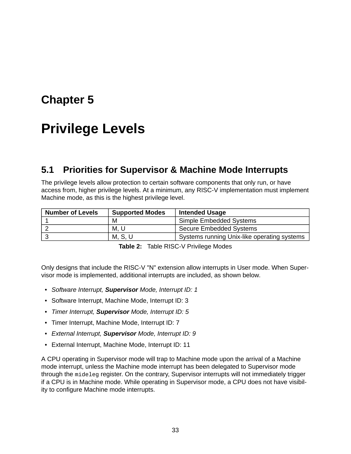## <span id="page-34-0"></span>**[Chapter 5](#page-34-0)**

# **[Privilege Levels](#page-34-0)**

### <span id="page-34-1"></span>**[5.1 Priorities for Supervisor & Machine Mode Interrupts](#page-34-1)**

The privilege levels allow protection to certain software components that only run, or have access from, higher privilege levels. At a minimum, any RISC-V implementation must implement Machine mode, as this is the highest privilege level.

| <b>Number of Levels</b> | <b>Supported Modes</b> | <b>Intended Usage</b>                       |
|-------------------------|------------------------|---------------------------------------------|
|                         | M                      | Simple Embedded Systems                     |
|                         | M. U                   | <b>Secure Embedded Systems</b>              |
|                         | M, S, U                | Systems running Unix-like operating systems |

**Table 2:** Table RISC-V Privilege Modes

Only designs that include the RISC-V "N" extension allow interrupts in User mode. When Supervisor mode is implemented, additional interrupts are included, as shown below.

- *Software Interrupt, Supervisor Mode, Interrupt ID: 1*
- Software Interrupt, Machine Mode, Interrupt ID: 3
- *Timer Interrupt, Supervisor Mode, Interrupt ID: 5*
- Timer Interrupt, Machine Mode, Interrupt ID: 7
- *External Interrupt, Supervisor Mode, Interrupt ID: 9*
- External Interrupt, Machine Mode, Interrupt ID: 11

A CPU operating in Supervisor mode will trap to Machine mode upon the arrival of a Machine mode interrupt, unless the Machine mode interrupt has been delegated to Supervisor mode through the mideleg register. On the contrary, Supervisor interrupts will not immediately trigger if a CPU is in Machine mode. While operating in Supervisor mode, a CPU does not have visibility to configure Machine mode interrupts.